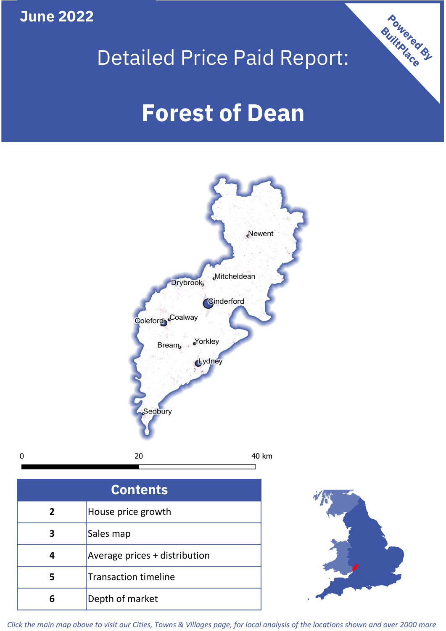**June 2022**

 $\mathbf 0$ 





| <b>Contents</b> |                               |  |  |
|-----------------|-------------------------------|--|--|
| $\overline{2}$  | House price growth            |  |  |
|                 | Sales map                     |  |  |
|                 | Average prices + distribution |  |  |
| 5               | <b>Transaction timeline</b>   |  |  |
| ĥ               | Depth of market               |  |  |



*Click the main map above to visit our Cities, Towns & Villages page, for local analysis of the locations shown and over 2000 more*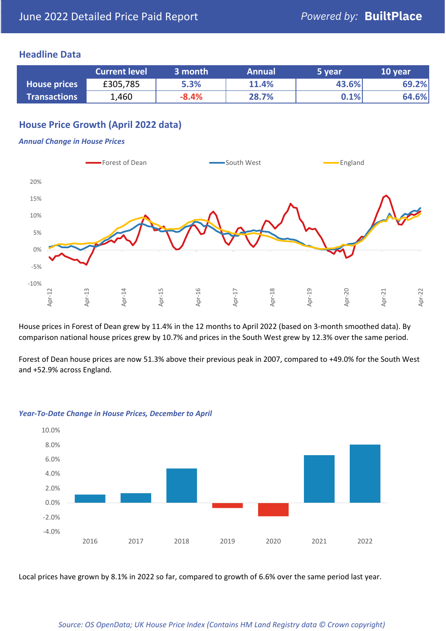### **Headline Data**

|                     | <b>Current level</b> | 3 month | <b>Annual</b> | 5 year  | 10 year |
|---------------------|----------------------|---------|---------------|---------|---------|
| <b>House prices</b> | £305,785             | 5.3%    | 11.4%         | 43.6%   | 69.2%   |
| <b>Transactions</b> | 1,460                | $-8.4%$ | 28.7%         | $0.1\%$ | 64.6%   |

# **House Price Growth (April 2022 data)**

#### *Annual Change in House Prices*



House prices in Forest of Dean grew by 11.4% in the 12 months to April 2022 (based on 3-month smoothed data). By comparison national house prices grew by 10.7% and prices in the South West grew by 12.3% over the same period.

Forest of Dean house prices are now 51.3% above their previous peak in 2007, compared to +49.0% for the South West and +52.9% across England.



#### *Year-To-Date Change in House Prices, December to April*

Local prices have grown by 8.1% in 2022 so far, compared to growth of 6.6% over the same period last year.

#### *Source: OS OpenData; UK House Price Index (Contains HM Land Registry data © Crown copyright)*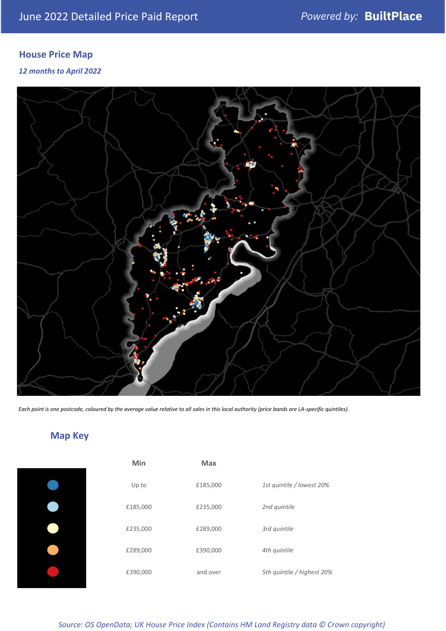# **House Price Map**

*12 months to April 2022*



*Each point is one postcode, coloured by the average value relative to all sales in this local authority (price bands are LA-specific quintiles).*

# **Map Key**

| Min      | <b>Max</b> |                            |
|----------|------------|----------------------------|
| Up to    | £185,000   | 1st quintile / lowest 20%  |
| £185,000 | £235,000   | 2nd quintile               |
| £235,000 | £289,000   | 3rd quintile               |
| £289,000 | £390,000   | 4th quintile               |
| £390,000 | and over   | 5th quintile / highest 20% |

*Source: OS OpenData; UK House Price Index (Contains HM Land Registry data © Crown copyright)*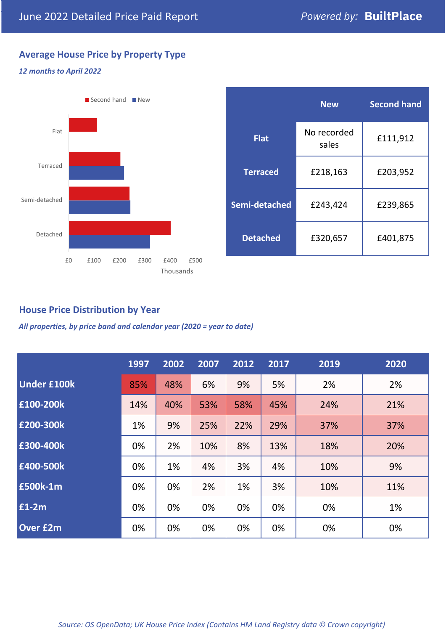# **Average House Price by Property Type**

### *12 months to April 2022*



|                 | <b>New</b>           | <b>Second hand</b> |  |
|-----------------|----------------------|--------------------|--|
| <b>Flat</b>     | No recorded<br>sales | £111,912           |  |
| <b>Terraced</b> | £218,163             | £203,952           |  |
| Semi-detached   | £243,424             | £239,865           |  |
| <b>Detached</b> | £320,657             | £401,875           |  |

## **House Price Distribution by Year**

*All properties, by price band and calendar year (2020 = year to date)*

|                    | 1997 | 2002 | 2007 | 2012 | 2017 | 2019 | 2020 |
|--------------------|------|------|------|------|------|------|------|
| <b>Under £100k</b> | 85%  | 48%  | 6%   | 9%   | 5%   | 2%   | 2%   |
| £100-200k          | 14%  | 40%  | 53%  | 58%  | 45%  | 24%  | 21%  |
| E200-300k          | 1%   | 9%   | 25%  | 22%  | 29%  | 37%  | 37%  |
| £300-400k          | 0%   | 2%   | 10%  | 8%   | 13%  | 18%  | 20%  |
| £400-500k          | 0%   | 1%   | 4%   | 3%   | 4%   | 10%  | 9%   |
| <b>£500k-1m</b>    | 0%   | 0%   | 2%   | 1%   | 3%   | 10%  | 11%  |
| £1-2m              | 0%   | 0%   | 0%   | 0%   | 0%   | 0%   | 1%   |
| <b>Over £2m</b>    | 0%   | 0%   | 0%   | 0%   | 0%   | 0%   | 0%   |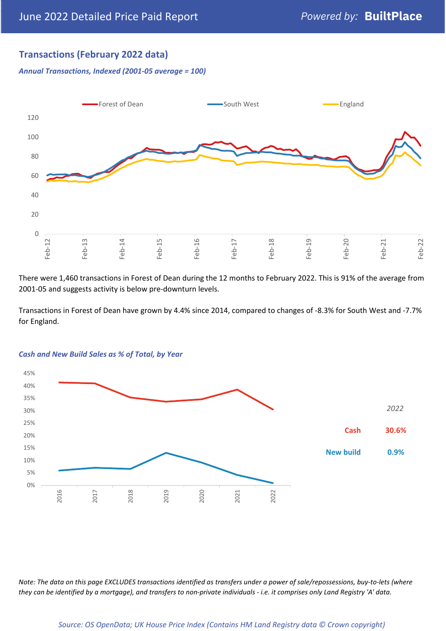# **Transactions (February 2022 data)**

*Annual Transactions, Indexed (2001-05 average = 100)*



There were 1,460 transactions in Forest of Dean during the 12 months to February 2022. This is 91% of the average from 2001-05 and suggests activity is below pre-downturn levels.

Transactions in Forest of Dean have grown by 4.4% since 2014, compared to changes of -8.3% for South West and -7.7% for England.



#### *Cash and New Build Sales as % of Total, by Year*

*Note: The data on this page EXCLUDES transactions identified as transfers under a power of sale/repossessions, buy-to-lets (where they can be identified by a mortgage), and transfers to non-private individuals - i.e. it comprises only Land Registry 'A' data.*